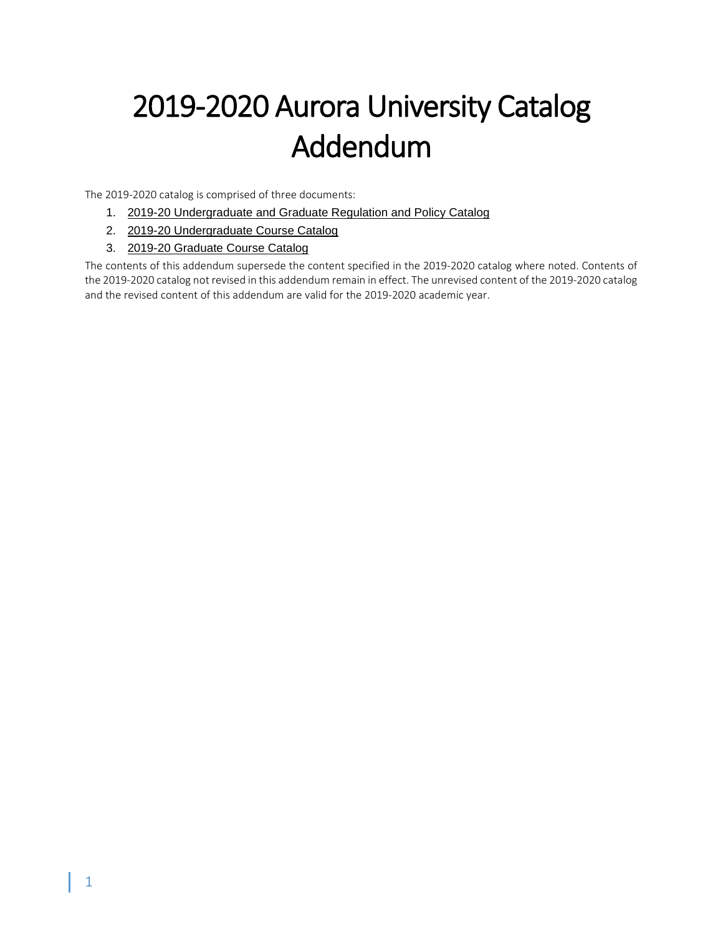# 2019-2020 Aurora University Catalog Addendum

The 2019-2020 catalog is comprised of three documents:

- 1. [2019-20 Undergraduate and Graduate Regulation and Policy Catalog](https://aurora.edu/documents/academics/catalog/AU%20Regulations%20and%20Policy%20Catalog%202019%202020%20c.pdf)
- 2. [2019-20 Undergraduate Course Catalog](https://aurora.edu/documents/academics/catalog/AU%20Undergraduate%20Course%20Catalog%202019%202020%20c.pdf)
- 3. 2019-20 [Graduate Course Catalog](https://aurora.edu/documents/academics/catalog/AU%20Graduate%20Course%20Catalog%202019%202020%20c.pdf)

The contents of this addendum supersede the content specified in the 2019-2020 catalog where noted. Contents of the 2019-2020 catalog not revised in this addendum remain in effect. The unrevised content of the 2019-2020 catalog and the revised content of this addendum are valid for the 2019-2020 academic year.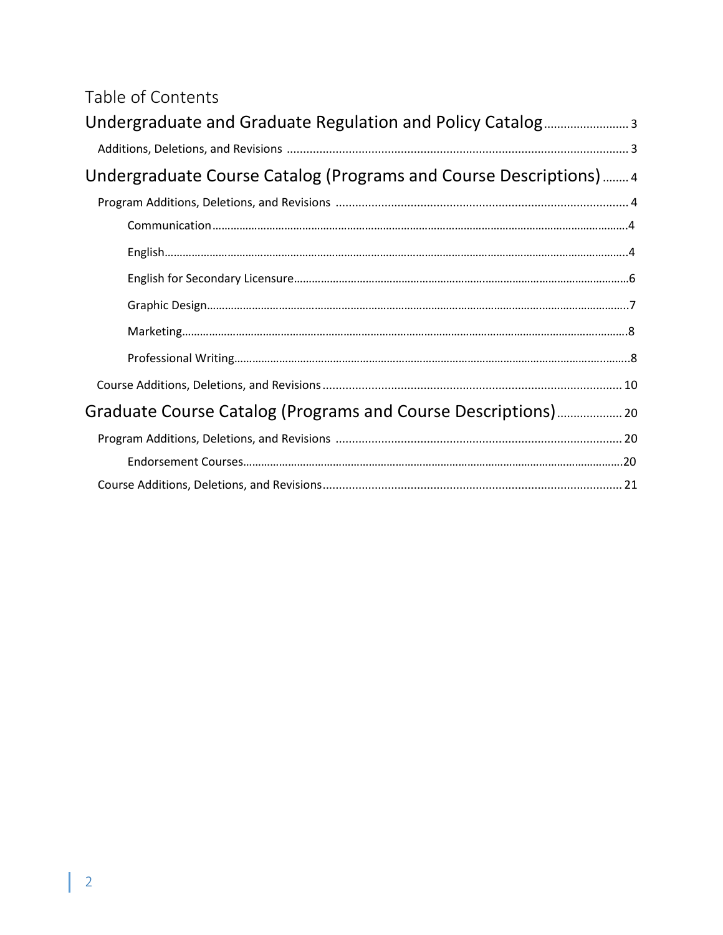# Table of Contents

| Undergraduate Course Catalog (Programs and Course Descriptions)  4   |  |
|----------------------------------------------------------------------|--|
|                                                                      |  |
|                                                                      |  |
|                                                                      |  |
|                                                                      |  |
|                                                                      |  |
| $\text{Marketing}.\textcolor{red}{\text{max}3} \text{--} \text{max}$ |  |
|                                                                      |  |
|                                                                      |  |
|                                                                      |  |
|                                                                      |  |
|                                                                      |  |
|                                                                      |  |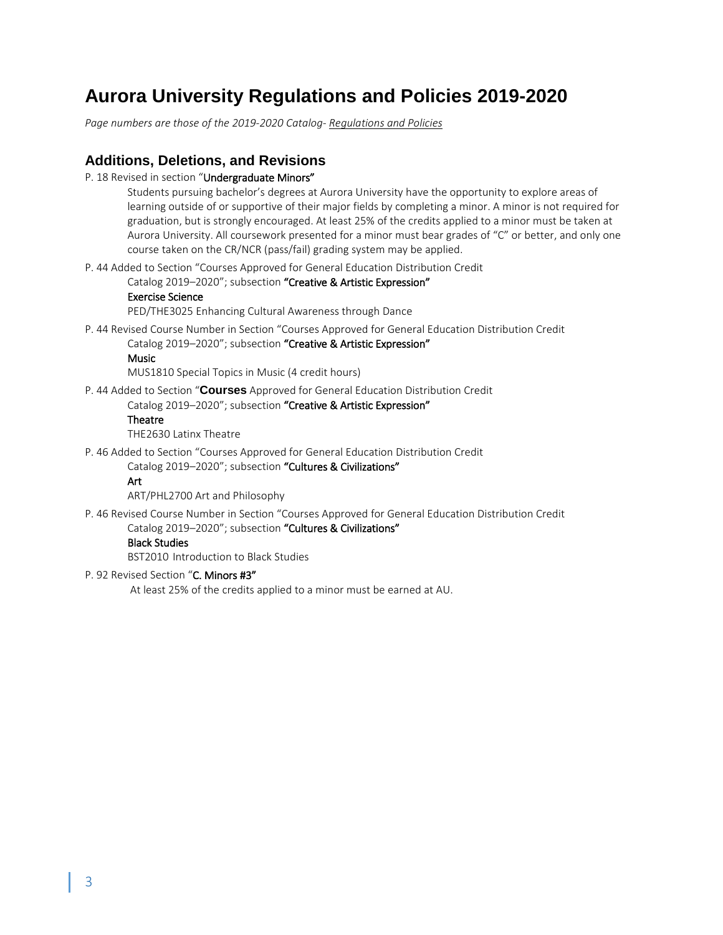# **Aurora University Regulations and Policies 2019-2020**

*Page numbers are those of the 2019-2020 Catalog- Regulations and Policies*

# **Additions, Deletions, and Revisions**

P. 18 Revised in section "Undergraduate Minors"

Students pursuing bachelor's degrees at Aurora University have the opportunity to explore areas of learning outside of or supportive of their major fields by completing a minor. A minor is not required for graduation, but is strongly encouraged. At least 25% of the credits applied to a minor must be taken at Aurora University. All coursework presented for a minor must bear grades of "C" or better, and only one course taken on the CR/NCR (pass/fail) grading system may be applied.

P. 44 Added to Section "Courses Approved for General Education Distribution Credit

Catalog 2019-2020"; subsection "Creative & Artistic Expression"

# Exercise Science

PED/THE3025 Enhancing Cultural Awareness through Dance

P. 44 Revised Course Number in Section "Courses Approved for General Education Distribution Credit

Catalog 2019–2020"; subsection "Creative & Artistic Expression"

# Music

MUS1810 Special Topics in Music (4 credit hours)

P. 44 Added to Section "**Courses** Approved for General Education Distribution Credit

Catalog 2019-2020"; subsection "Creative & Artistic Expression"

### Theatre

THE2630 Latinx Theatre

P. 46 Added to Section "Courses Approved for General Education Distribution Credit

Catalog 2019–2020"; subsection "Cultures & Civilizations"

# Art

ART/PHL2700 Art and Philosophy

P. 46 Revised Course Number in Section "Courses Approved for General Education Distribution Credit Catalog 2019–2020"; subsection "Cultures & Civilizations"

# Black Studies

BST2010 Introduction to Black Studies

#### P. 92 Revised Section "C. Minors #3"

At least 25% of the credits applied to a minor must be earned at AU.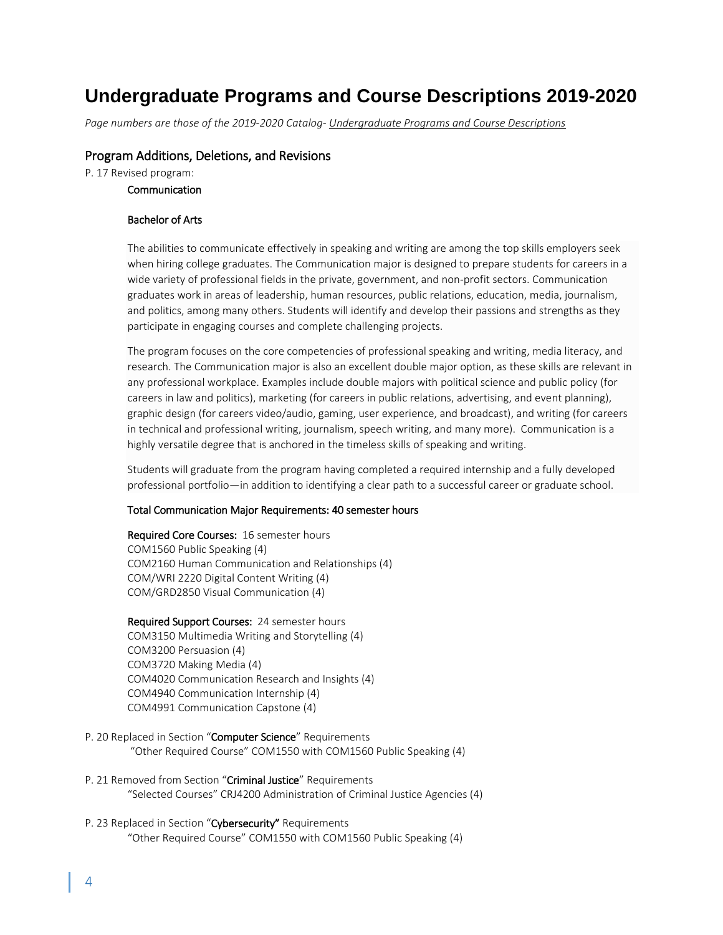# **Undergraduate Programs and Course Descriptions 2019-2020**

*Page numbers are those of the 2019-2020 Catalog- Undergraduate Programs and Course Descriptions*

# Program Additions, Deletions, and Revisions

P. 17 Revised program:

Communication

### Bachelor of Arts

The abilities to communicate effectively in speaking and writing are among the top skills employers seek when hiring college graduates. The Communication major is designed to prepare students for careers in a wide variety of professional fields in the private, government, and non-profit sectors. Communication graduates work in areas of leadership, human resources, public relations, education, media, journalism, and politics, among many others. Students will identify and develop their passions and strengths as they participate in engaging courses and complete challenging projects.

The program focuses on the core competencies of professional speaking and writing, media literacy, and research. The Communication major is also an excellent double major option, as these skills are relevant in any professional workplace. Examples include double majors with political science and public policy (for careers in law and politics), marketing (for careers in public relations, advertising, and event planning), graphic design (for careers video/audio, gaming, user experience, and broadcast), and writing (for careers in technical and professional writing, journalism, speech writing, and many more). Communication is a highly versatile degree that is anchored in the timeless skills of speaking and writing.

Students will graduate from the program having completed a required internship and a fully developed professional portfolio—in addition to identifying a clear path to a successful career or graduate school.

#### Total Communication Major Requirements: 40 semester hours

Required Core Courses: 16 semester hours COM1560 Public Speaking (4) COM2160 Human Communication and Relationships (4) COM/WRI 2220 Digital Content Writing (4) COM/GRD2850 Visual Communication (4)

## Required Support Courses: 24 semester hours

COM3150 Multimedia Writing and Storytelling (4) COM3200 Persuasion (4) COM3720 Making Media (4) COM4020 Communication Research and Insights (4) COM4940 Communication Internship (4) COM4991 Communication Capstone (4)

- P. 20 Replaced in Section "Computer Science" Requirements "Other Required Course" COM1550 with COM1560 Public Speaking (4)
- P. 21 Removed from Section "Criminal Justice" Requirements "Selected Courses" CRJ4200 Administration of Criminal Justice Agencies (4)
- P. 23 Replaced in Section "Cybersecurity" Requirements "Other Required Course" COM1550 with COM1560 Public Speaking (4)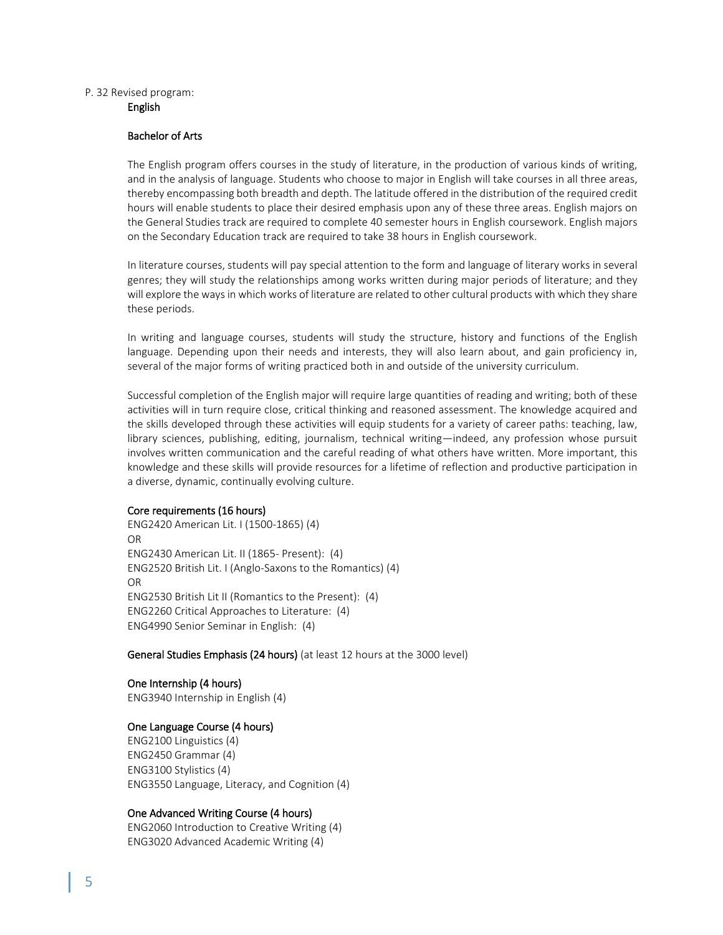#### P. 32 Revised program: English

#### Bachelor of Arts

The English program offers courses in the study of literature, in the production of various kinds of writing, and in the analysis of language. Students who choose to major in English will take courses in all three areas, thereby encompassing both breadth and depth. The latitude offered in the distribution of the required credit hours will enable students to place their desired emphasis upon any of these three areas. English majors on the General Studies track are required to complete 40 semester hours in English coursework. English majors on the Secondary Education track are required to take 38 hours in English coursework.

In literature courses, students will pay special attention to the form and language of literary works in several genres; they will study the relationships among works written during major periods of literature; and they will explore the ways in which works of literature are related to other cultural products with which they share these periods.

In writing and language courses, students will study the structure, history and functions of the English language. Depending upon their needs and interests, they will also learn about, and gain proficiency in, several of the major forms of writing practiced both in and outside of the university curriculum.

Successful completion of the English major will require large quantities of reading and writing; both of these activities will in turn require close, critical thinking and reasoned assessment. The knowledge acquired and the skills developed through these activities will equip students for a variety of career paths: teaching, law, library sciences, publishing, editing, journalism, technical writing—indeed, any profession whose pursuit involves written communication and the careful reading of what others have written. More important, this knowledge and these skills will provide resources for a lifetime of reflection and productive participation in a diverse, dynamic, continually evolving culture.

#### Core requirements (16 hours)

ENG2420 American Lit. I (1500-1865) (4) OR ENG2430 American Lit. II (1865- Present): (4) ENG2520 British Lit. I (Anglo-Saxons to the Romantics) (4) OR ENG2530 British Lit II (Romantics to the Present): (4) ENG2260 Critical Approaches to Literature: (4) ENG4990 Senior Seminar in English: (4)

#### General Studies Emphasis (24 hours) (at least 12 hours at the 3000 level)

# One Internship (4 hours)

ENG3940 Internship in English (4)

#### One Language Course (4 hours)

ENG2100 Linguistics (4) ENG2450 Grammar (4) ENG3100 Stylistics (4) ENG3550 Language, Literacy, and Cognition (4)

#### One Advanced Writing Course (4 hours)

ENG2060 Introduction to Creative Writing (4) ENG3020 Advanced Academic Writing (4)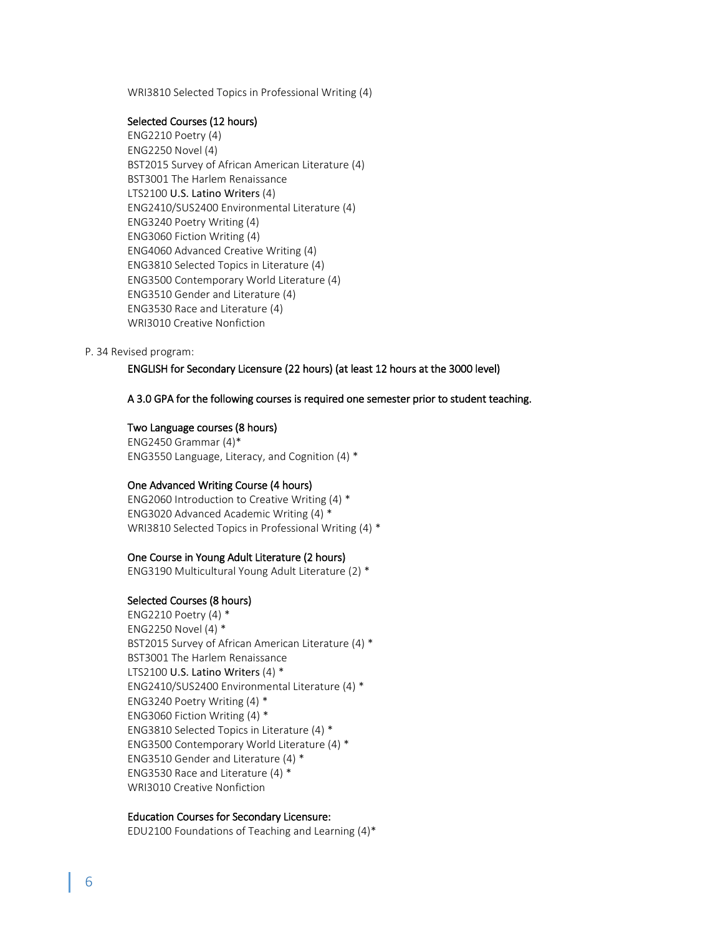WRI3810 Selected Topics in Professional Writing (4)

#### Selected Courses (12 hours)

ENG2210 Poetry (4) ENG2250 Novel (4) BST2015 Survey of African American Literature (4) BST3001 The Harlem Renaissance LTS2100 U.S. Latino Writers (4) ENG2410/SUS2400 Environmental Literature (4) ENG3240 Poetry Writing (4) ENG3060 Fiction Writing (4) ENG4060 Advanced Creative Writing (4) ENG3810 Selected Topics in Literature (4) ENG3500 Contemporary World Literature (4) ENG3510 Gender and Literature (4) ENG3530 Race and Literature (4) WRI3010 Creative Nonfiction

#### P. 34 Revised program:

ENGLISH for Secondary Licensure (22 hours) (at least 12 hours at the 3000 level)

# A 3.0 GPA for the following courses is required one semester prior to student teaching.

# Two Language courses (8 hours)

ENG2450 Grammar (4)\* ENG3550 Language, Literacy, and Cognition (4) \*

#### One Advanced Writing Course (4 hours)

ENG2060 Introduction to Creative Writing (4) \* ENG3020 Advanced Academic Writing (4) \* WRI3810 Selected Topics in Professional Writing (4) \*

# One Course in Young Adult Literature (2 hours)

ENG3190 Multicultural Young Adult Literature (2) \*

#### Selected Courses (8 hours)

ENG2210 Poetry (4) \* ENG2250 Novel (4) \* BST2015 Survey of African American Literature (4) \* BST3001 The Harlem Renaissance LTS2100 U.S. Latino Writers (4) \* ENG2410/SUS2400 Environmental Literature (4) \* ENG3240 Poetry Writing (4) \* ENG3060 Fiction Writing (4) \* ENG3810 Selected Topics in Literature (4) \* ENG3500 Contemporary World Literature (4) \* ENG3510 Gender and Literature (4) \* ENG3530 Race and Literature (4) \* WRI3010 Creative Nonfiction

#### Education Courses for Secondary Licensure:

EDU2100 Foundations of Teaching and Learning (4)\*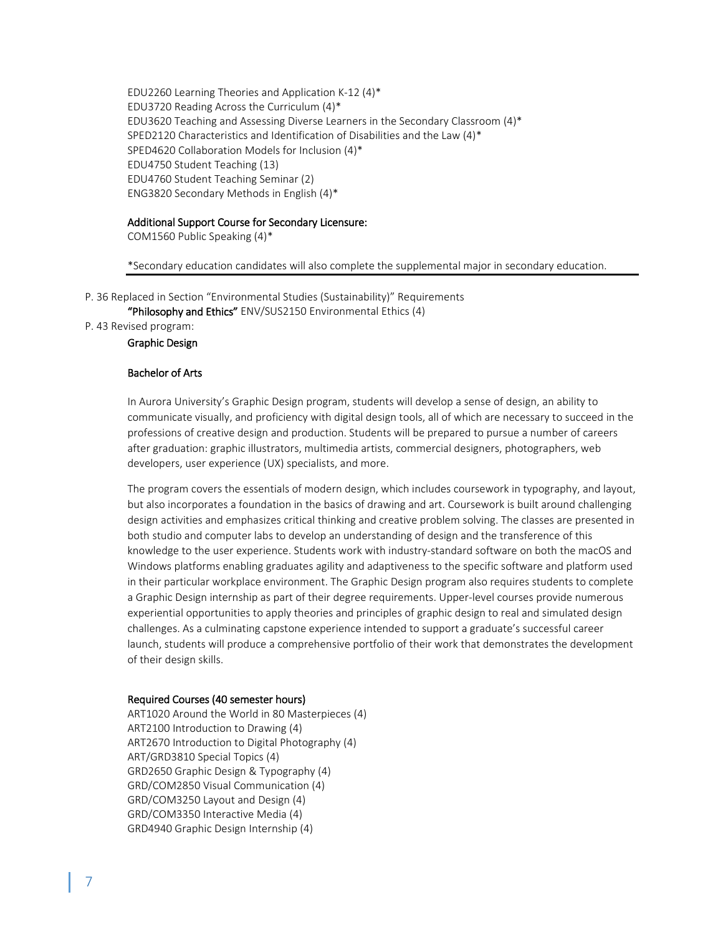EDU2260 Learning Theories and Application K-12 (4)\* EDU3720 Reading Across the Curriculum (4)\* EDU3620 Teaching and Assessing Diverse Learners in the Secondary Classroom (4)\* SPED2120 Characteristics and Identification of Disabilities and the Law (4)\* SPED4620 Collaboration Models for Inclusion (4)\* EDU4750 Student Teaching (13) EDU4760 Student Teaching Seminar (2) ENG3820 Secondary Methods in English (4)\*

#### Additional Support Course for Secondary Licensure:

COM1560 Public Speaking (4)\*

\*Secondary education candidates will also complete the supplemental major in secondary education.

P. 36 Replaced in Section "Environmental Studies (Sustainability)" Requirements

"Philosophy and Ethics" ENV/SUS2150 Environmental Ethics (4)

P. 43 Revised program:

Graphic Design

#### Bachelor of Arts

In Aurora University's Graphic Design program, students will develop a sense of design, an ability to communicate visually, and proficiency with digital design tools, all of which are necessary to succeed in the professions of creative design and production. Students will be prepared to pursue a number of careers after graduation: graphic illustrators, multimedia artists, commercial designers, photographers, web developers, user experience (UX) specialists, and more.

The program covers the essentials of modern design, which includes coursework in typography, and layout, but also incorporates a foundation in the basics of drawing and art. Coursework is built around challenging design activities and emphasizes critical thinking and creative problem solving. The classes are presented in both studio and computer labs to develop an understanding of design and the transference of this knowledge to the user experience. Students work with industry-standard software on both the macOS and Windows platforms enabling graduates agility and adaptiveness to the specific software and platform used in their particular workplace environment. The Graphic Design program also requires students to complete a Graphic Design internship as part of their degree requirements. Upper-level courses provide numerous experiential opportunities to apply theories and principles of graphic design to real and simulated design challenges. As a culminating capstone experience intended to support a graduate's successful career launch, students will produce a comprehensive portfolio of their work that demonstrates the development of their design skills.

#### Required Courses (40 semester hours)

ART1020 Around the World in 80 Masterpieces (4) ART2100 Introduction to Drawing (4) ART2670 Introduction to Digital Photography (4) ART/GRD3810 Special Topics (4) GRD2650 Graphic Design & Typography (4) GRD/COM2850 Visual Communication (4) GRD/COM3250 Layout and Design (4) GRD/COM3350 Interactive Media (4) GRD4940 Graphic Design Internship (4)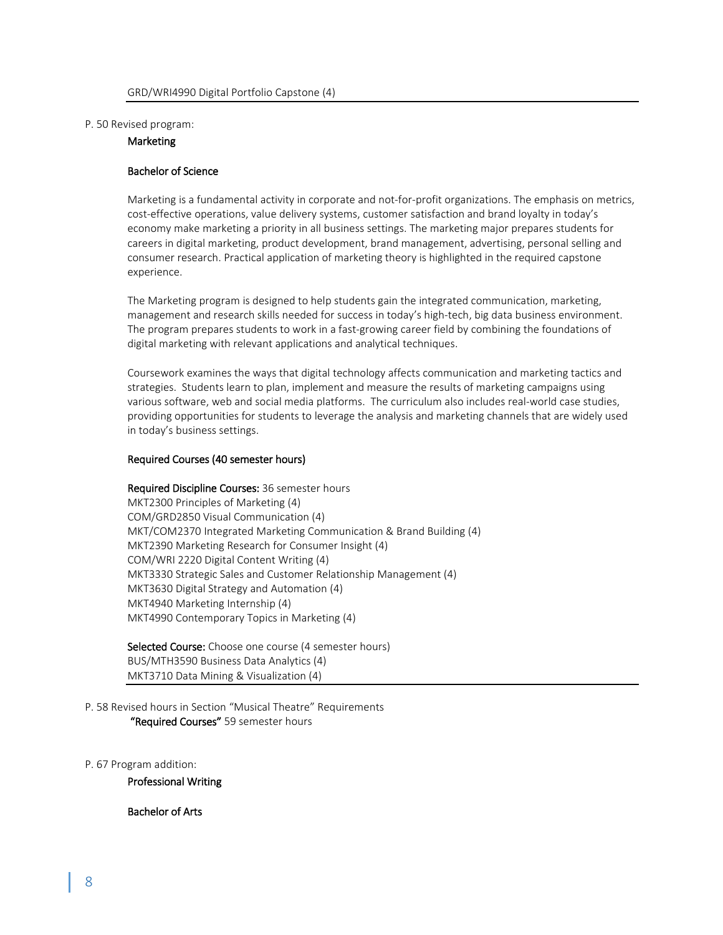#### P. 50 Revised program:

# **Marketing**

#### Bachelor of Science

Marketing is a fundamental activity in corporate and not-for-profit organizations. The emphasis on metrics, cost-effective operations, value delivery systems, customer satisfaction and brand loyalty in today's economy make marketing a priority in all business settings. The marketing major prepares students for careers in digital marketing, product development, brand management, advertising, personal selling and consumer research. Practical application of marketing theory is highlighted in the required capstone experience.

The Marketing program is designed to help students gain the integrated communication, marketing, management and research skills needed for success in today's high-tech, big data business environment. The program prepares students to work in a fast-growing career field by combining the foundations of digital marketing with relevant applications and analytical techniques.

Coursework examines the ways that digital technology affects communication and marketing tactics and strategies. Students learn to plan, implement and measure the results of marketing campaigns using various software, web and social media platforms. The curriculum also includes real-world case studies, providing opportunities for students to leverage the analysis and marketing channels that are widely used in today's business settings.

#### Required Courses (40 semester hours)

#### Required Discipline Courses: 36 semester hours

MKT2300 Principles of Marketing (4) COM/GRD2850 Visual Communication (4) MKT/COM2370 Integrated Marketing Communication & Brand Building (4) MKT2390 Marketing Research for Consumer Insight (4) COM/WRI 2220 Digital Content Writing (4) MKT3330 Strategic Sales and Customer Relationship Management (4) MKT3630 Digital Strategy and Automation (4) MKT4940 Marketing Internship (4) MKT4990 Contemporary Topics in Marketing (4)

Selected Course: Choose one course (4 semester hours) BUS/MTH3590 Business Data Analytics (4) MKT3710 Data Mining & Visualization (4)

P. 58 Revised hours in Section "Musical Theatre" Requirements "Required Courses" 59 semester hours

P. 67 Program addition:

Professional Writing

Bachelor of Arts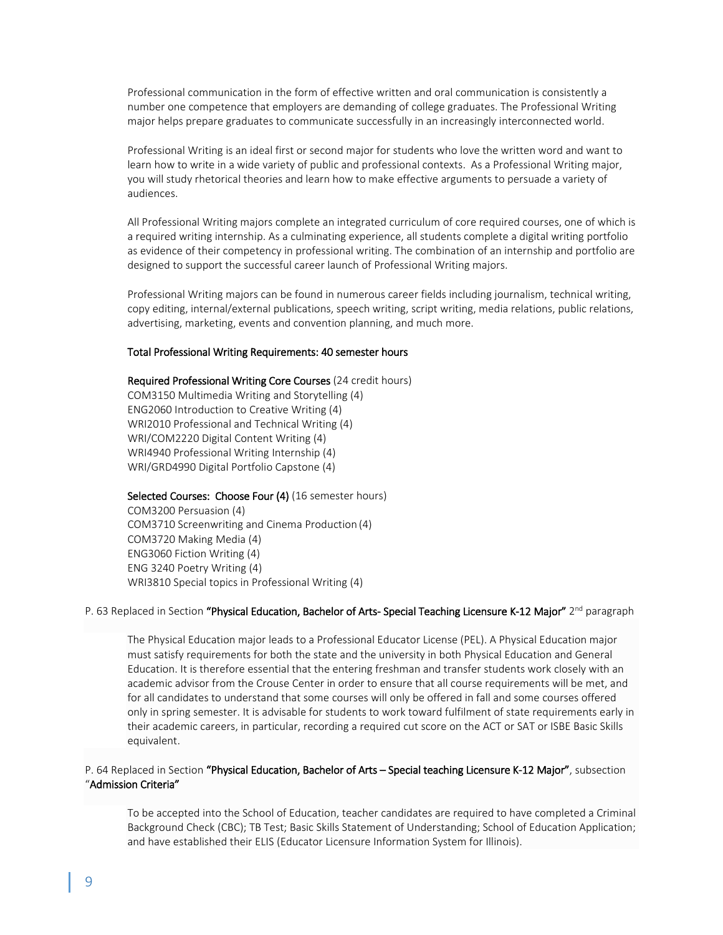Professional communication in the form of effective written and oral communication is consistently a number one competence that employers are demanding of college graduates. The Professional Writing major helps prepare graduates to communicate successfully in an increasingly interconnected world.

Professional Writing is an ideal first or second major for students who love the written word and want to learn how to write in a wide variety of public and professional contexts. As a Professional Writing major, you will study rhetorical theories and learn how to make effective arguments to persuade a variety of audiences.

All Professional Writing majors complete an integrated curriculum of core required courses, one of which is a required writing internship. As a culminating experience, all students complete a digital writing portfolio as evidence of their competency in professional writing. The combination of an internship and portfolio are designed to support the successful career launch of Professional Writing majors.

Professional Writing majors can be found in numerous career fields including journalism, technical writing, copy editing, internal/external publications, speech writing, script writing, media relations, public relations, advertising, marketing, events and convention planning, and much more.

#### Total Professional Writing Requirements: 40 semester hours

Required Professional Writing Core Courses (24 credit hours) COM3150 Multimedia Writing and Storytelling (4) ENG2060 Introduction to Creative Writing (4) WRI2010 Professional and Technical Writing (4) WRI/COM2220 Digital Content Writing (4) WRI4940 Professional Writing Internship (4) WRI/GRD4990 Digital Portfolio Capstone (4)

Selected Courses: Choose Four (4) (16 semester hours)

COM3200 Persuasion (4) COM3710 Screenwriting and Cinema Production (4) COM3720 Making Media (4) ENG3060 Fiction Writing (4) ENG 3240 Poetry Writing (4) WRI3810 Special topics in Professional Writing (4)

#### P. 63 Replaced in Section "Physical Education, Bachelor of Arts- Special Teaching Licensure K-12 Major" 2<sup>nd</sup> paragraph

The Physical Education major leads to a Professional Educator License (PEL). A Physical Education major must satisfy requirements for both the state and the university in both Physical Education and General Education. It is therefore essential that the entering freshman and transfer students work closely with an academic advisor from the Crouse Center in order to ensure that all course requirements will be met, and for all candidates to understand that some courses will only be offered in fall and some courses offered only in spring semester. It is advisable for students to work toward fulfilment of state requirements early in their academic careers, in particular, recording a required cut score on the ACT or SAT or ISBE Basic Skills equivalent.

# P. 64 Replaced in Section "Physical Education, Bachelor of Arts – Special teaching Licensure K-12 Major", subsection "Admission Criteria"

To be accepted into the School of Education, teacher candidates are required to have completed a Criminal Background Check (CBC); TB Test; Basic Skills Statement of Understanding; School of Education Application; and have established their ELIS (Educator Licensure Information System for Illinois).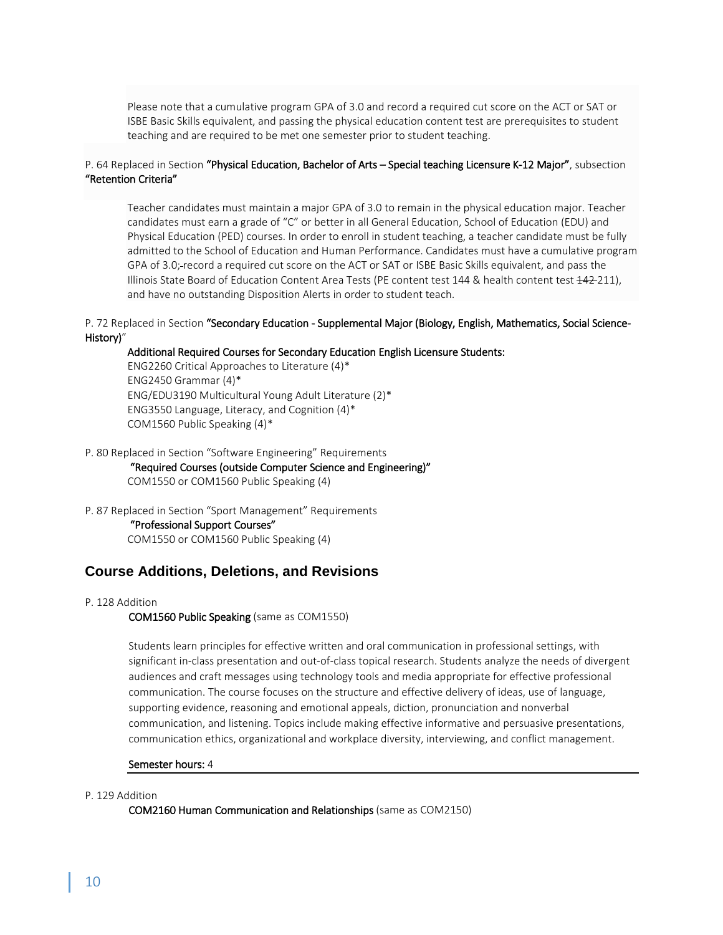Please note that a cumulative program GPA of 3.0 and record a required cut score on the ACT or SAT or ISBE Basic Skills equivalent, and passing the physical education content test are prerequisites to student teaching and are required to be met one semester prior to student teaching.

# P. 64 Replaced in Section "Physical Education, Bachelor of Arts – Special teaching Licensure K-12 Major", subsection "Retention Criteria"

Teacher candidates must maintain a major GPA of 3.0 to remain in the physical education major. Teacher candidates must earn a grade of "C" or better in all General Education, School of Education (EDU) and Physical Education (PED) courses. In order to enroll in student teaching, a teacher candidate must be fully admitted to the School of Education and Human Performance. Candidates must have a cumulative program GPA of 3.0; record a required cut score on the ACT or SAT or ISBE Basic Skills equivalent, and pass the Illinois State Board of Education Content Area Tests (PE content test 144 & health content test 442-211), and have no outstanding Disposition Alerts in order to student teach.

# P. 72 Replaced in Section "Secondary Education - Supplemental Major (Biology, English, Mathematics, Social Science-History)"

#### Additional Required Courses for Secondary Education English Licensure Students:

ENG2260 Critical Approaches to Literature (4)\* ENG2450 Grammar (4)\* ENG/EDU3190 Multicultural Young Adult Literature (2)\* ENG3550 Language, Literacy, and Cognition (4)\* COM1560 Public Speaking (4)\*

#### P. 80 Replaced in Section "Software Engineering" Requirements

"Required Courses (outside Computer Science and Engineering)"

COM1550 or COM1560 Public Speaking (4)

# P. 87 Replaced in Section "Sport Management" Requirements

"Professional Support Courses"

COM1550 or COM1560 Public Speaking (4)

# **Course Additions, Deletions, and Revisions**

#### P. 128 Addition

#### COM1560 Public Speaking (same as COM1550)

Students learn principles for effective written and oral communication in professional settings, with significant in-class presentation and out-of-class topical research. Students analyze the needs of divergent audiences and craft messages using technology tools and media appropriate for effective professional communication. The course focuses on the structure and effective delivery of ideas, use of language, supporting evidence, reasoning and emotional appeals, diction, pronunciation and nonverbal communication, and listening. Topics include making effective informative and persuasive presentations, communication ethics, organizational and workplace diversity, interviewing, and conflict management.

#### Semester hours: 4

### P. 129 Addition

COM2160 Human Communication and Relationships (same as COM2150)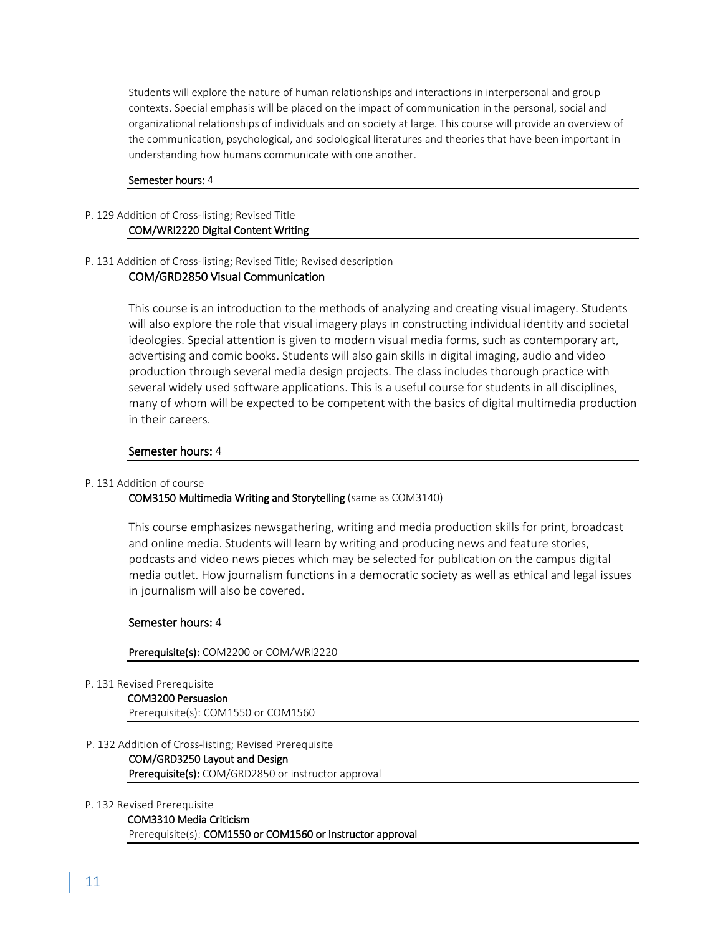Students will explore the nature of human relationships and interactions in interpersonal and group contexts. Special emphasis will be placed on the impact of communication in the personal, social and organizational relationships of individuals and on society at large. This course will provide an overview of the communication, psychological, and sociological literatures and theories that have been important in understanding how humans communicate with one another.

#### Semester hours: 4

#### P. 129 Addition of Cross-listing; Revised Title COM/WRI2220 Digital Content Writing

# P. 131 Addition of Cross-listing; Revised Title; Revised description

# COM/GRD2850 Visual Communication

This course is an introduction to the methods of analyzing and creating visual imagery. Students will also explore the role that visual imagery plays in constructing individual identity and societal ideologies. Special attention is given to modern visual media forms, such as contemporary art, advertising and comic books. Students will also gain skills in digital imaging, audio and video production through several media design projects. The class includes thorough practice with several widely used software applications. This is a useful course for students in all disciplines, many of whom will be expected to be competent with the basics of digital multimedia production in their careers.

# Semester hours: 4

# P. 131 Addition of course

# COM3150 Multimedia Writing and Storytelling (same as COM3140)

This course emphasizes newsgathering, writing and media production skills for print, broadcast and online media. Students will learn by writing and producing news and feature stories, podcasts and video news pieces which may be selected for publication on the campus digital media outlet. How journalism functions in a democratic society as well as ethical and legal issues in journalism will also be covered.

# Semester hours: 4

#### Prerequisite(s): COM2200 or COM/WRI2220

P. 131 Revised Prerequisite

COM3200 Persuasion Prerequisite(s): COM1550 or COM1560

- P. 132 Addition of Cross-listing; Revised Prerequisite
	- COM/GRD3250 Layout and Design Prerequisite(s): COM/GRD2850 or instructor approval

#### P. 132 Revised Prerequisite

COM3310 Media Criticism Prerequisite(s): COM1550 or COM1560 or instructor approval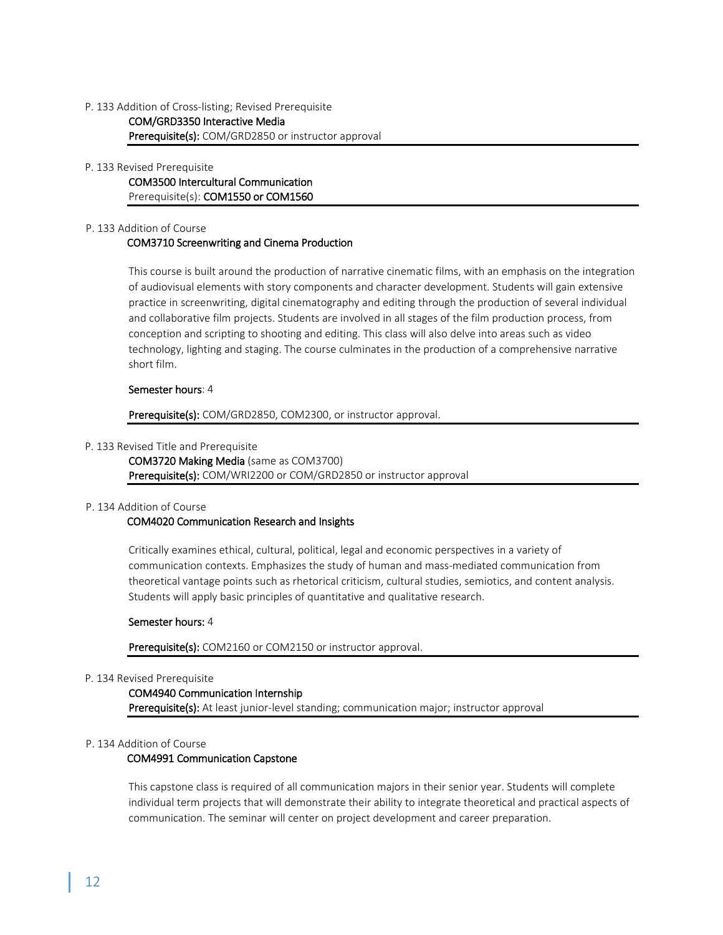# P. 133 Addition of Cross-listing; Revised Prerequisite COM/GRD3350 Interactive Media Prerequisite(s): COM/GRD2850 or instructor approval

#### P. 133 Revised Prerequisite

COM3500 Intercultural Communication Prerequisite(s): COM1550 or COM1560

#### P. 133 Addition of Course

# COM3710 Screenwriting and Cinema Production

This course is built around the production of narrative cinematic films, with an emphasis on the integration of audiovisual elements with story components and character development. Students will gain extensive practice in screenwriting, digital cinematography and editing through the production of several individual and collaborative film projects. Students are involved in all stages of the film production process, from conception and scripting to shooting and editing. This class will also delve into areas such as video technology, lighting and staging. The course culminates in the production of a comprehensive narrative short film.

### Semester hours: 4

Prerequisite(s): COM/GRD2850, COM2300, or instructor approval.

### P. 133 Revised Title and Prerequisite

COM3720 Making Media (same as COM3700) Prerequisite(s): COM/WRI2200 or COM/GRD2850 or instructor approval

# P. 134 Addition of Course

# COM4020 Communication Research and Insights

Critically examines ethical, cultural, political, legal and economic perspectives in a variety of communication contexts. Emphasizes the study of human and mass-mediated communication from theoretical vantage points such as rhetorical criticism, cultural studies, semiotics, and content analysis. Students will apply basic principles of quantitative and qualitative research.

# Semester hours: 4

Prerequisite(s): COM2160 or COM2150 or instructor approval.

# P. 134 Revised Prerequisite

# COM4940 Communication Internship

Prerequisite(s): At least junior-level standing; communication major; instructor approval

#### P. 134 Addition of Course

# COM4991 Communication Capstone

This capstone class is required of all communication majors in their senior year. Students will complete individual term projects that will demonstrate their ability to integrate theoretical and practical aspects of communication. The seminar will center on project development and career preparation.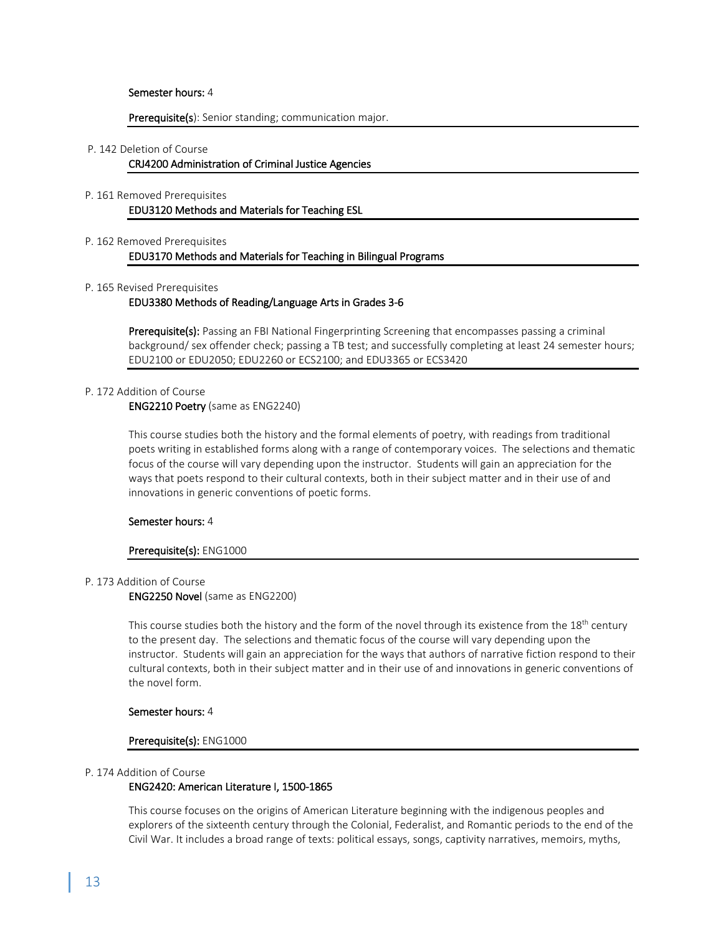#### Semester hours: 4

#### Prerequisite(s): Senior standing; communication major.

#### P. 142 Deletion of Course

#### CRJ4200 Administration of Criminal Justice Agencies

# P. 161 Removed Prerequisites

# EDU3120 Methods and Materials for Teaching ESL

# P. 162 Removed Prerequisites

### EDU3170 Methods and Materials for Teaching in Bilingual Programs

#### P. 165 Revised Prerequisites

#### EDU3380 Methods of Reading/Language Arts in Grades 3-6

Prerequisite(s): Passing an FBI National Fingerprinting Screening that encompasses passing a criminal background/ sex offender check; passing a TB test; and successfully completing at least 24 semester hours; EDU2100 or EDU2050; EDU2260 or ECS2100; and EDU3365 or ECS3420

#### P. 172 Addition of Course

#### ENG2210 Poetry (same as ENG2240)

This course studies both the history and the formal elements of poetry, with readings from traditional poets writing in established forms along with a range of contemporary voices. The selections and thematic focus of the course will vary depending upon the instructor. Students will gain an appreciation for the ways that poets respond to their cultural contexts, both in their subject matter and in their use of and innovations in generic conventions of poetic forms.

#### Semester hours: 4

#### Prerequisite(s): ENG1000

#### P. 173 Addition of Course

ENG2250 Novel (same as ENG2200)

This course studies both the history and the form of the novel through its existence from the 18<sup>th</sup> century to the present day. The selections and thematic focus of the course will vary depending upon the instructor. Students will gain an appreciation for the ways that authors of narrative fiction respond to their cultural contexts, both in their subject matter and in their use of and innovations in generic conventions of the novel form.

#### Semester hours: 4

#### Prerequisite(s): ENG1000

#### P. 174 Addition of Course

# ENG2420: American Literature I, 1500-1865

This course focuses on the origins of American Literature beginning with the indigenous peoples and explorers of the sixteenth century through the Colonial, Federalist, and Romantic periods to the end of the Civil War. It includes a broad range of texts: political essays, songs, captivity narratives, memoirs, myths,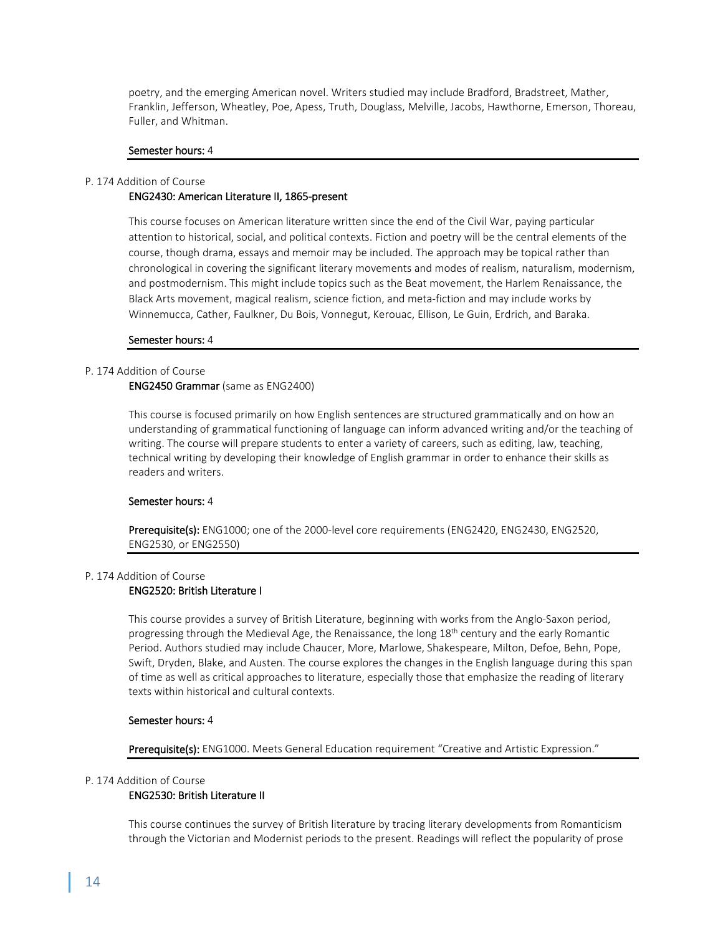poetry, and the emerging American novel. Writers studied may include Bradford, Bradstreet, Mather, Franklin, Jefferson, Wheatley, Poe, Apess, Truth, Douglass, Melville, Jacobs, Hawthorne, Emerson, Thoreau, Fuller, and Whitman.

#### Semester hours: 4

#### P. 174 Addition of Course ENG2430: American Literature II, 1865-present

This course focuses on American literature written since the end of the Civil War, paying particular attention to historical, social, and political contexts. Fiction and poetry will be the central elements of the course, though drama, essays and memoir may be included. The approach may be topical rather than chronological in covering the significant literary movements and modes of realism, naturalism, modernism, and postmodernism. This might include topics such as the Beat movement, the Harlem Renaissance, the Black Arts movement, magical realism, science fiction, and meta-fiction and may include works by Winnemucca, Cather, Faulkner, Du Bois, Vonnegut, Kerouac, Ellison, Le Guin, Erdrich, and Baraka.

#### Semester hours: 4

#### P. 174 Addition of Course

### ENG2450 Grammar (same as ENG2400)

This course is focused primarily on how English sentences are structured grammatically and on how an understanding of grammatical functioning of language can inform advanced writing and/or the teaching of writing. The course will prepare students to enter a variety of careers, such as editing, law, teaching, technical writing by developing their knowledge of English grammar in order to enhance their skills as readers and writers.

#### Semester hours: 4

Prerequisite(s): ENG1000; one of the 2000-level core requirements (ENG2420, ENG2430, ENG2520, ENG2530, or ENG2550)

#### P. 174 Addition of Course

# ENG2520: British Literature I

This course provides a survey of British Literature, beginning with works from the Anglo-Saxon period, progressing through the Medieval Age, the Renaissance, the long 18<sup>th</sup> century and the early Romantic Period. Authors studied may include Chaucer, More, Marlowe, Shakespeare, Milton, Defoe, Behn, Pope, Swift, Dryden, Blake, and Austen. The course explores the changes in the English language during this span of time as well as critical approaches to literature, especially those that emphasize the reading of literary texts within historical and cultural contexts.

### Semester hours: 4

Prerequisite(s): ENG1000. Meets General Education requirement "Creative and Artistic Expression."

### P. 174 Addition of Course

#### ENG2530: British Literature II

This course continues the survey of British literature by tracing literary developments from Romanticism through the Victorian and Modernist periods to the present. Readings will reflect the popularity of prose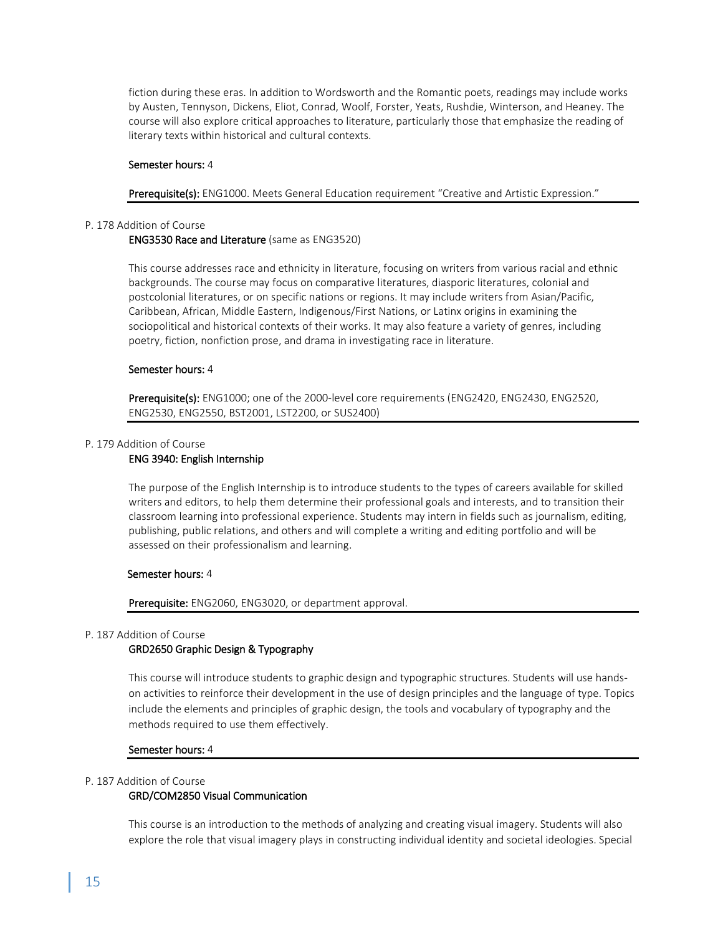fiction during these eras. In addition to Wordsworth and the Romantic poets, readings may include works by Austen, Tennyson, Dickens, Eliot, Conrad, Woolf, Forster, Yeats, Rushdie, Winterson, and Heaney. The course will also explore critical approaches to literature, particularly those that emphasize the reading of literary texts within historical and cultural contexts.

#### Semester hours: 4

Prerequisite(s): ENG1000. Meets General Education requirement "Creative and Artistic Expression."

#### P. 178 Addition of Course

#### ENG3530 Race and Literature (same as ENG3520)

This course addresses race and ethnicity in literature, focusing on writers from various racial and ethnic backgrounds. The course may focus on comparative literatures, diasporic literatures, colonial and postcolonial literatures, or on specific nations or regions. It may include writers from Asian/Pacific, Caribbean, African, Middle Eastern, Indigenous/First Nations, or Latinx origins in examining the sociopolitical and historical contexts of their works. It may also feature a variety of genres, including poetry, fiction, nonfiction prose, and drama in investigating race in literature.

#### Semester hours: 4

Prerequisite(s): ENG1000; one of the 2000-level core requirements (ENG2420, ENG2430, ENG2520, ENG2530, ENG2550, BST2001, LST2200, or SUS2400)

#### P. 179 Addition of Course

#### ENG 3940: English Internship

The purpose of the English Internship is to introduce students to the types of careers available for skilled writers and editors, to help them determine their professional goals and interests, and to transition their classroom learning into professional experience. Students may intern in fields such as journalism, editing, publishing, public relations, and others and will complete a writing and editing portfolio and will be assessed on their professionalism and learning.

#### Semester hours: 4

#### Prerequisite: ENG2060, ENG3020, or department approval.

#### P. 187 Addition of Course

### GRD2650 Graphic Design & Typography

This course will introduce students to graphic design and typographic structures. Students will use handson activities to reinforce their development in the use of design principles and the language of type. Topics include the elements and principles of graphic design, the tools and vocabulary of typography and the methods required to use them effectively.

#### Semester hours: 4

#### P. 187 Addition of Course

#### GRD/COM2850 Visual Communication

This course is an introduction to the methods of analyzing and creating visual imagery. Students will also explore the role that visual imagery plays in constructing individual identity and societal ideologies. Special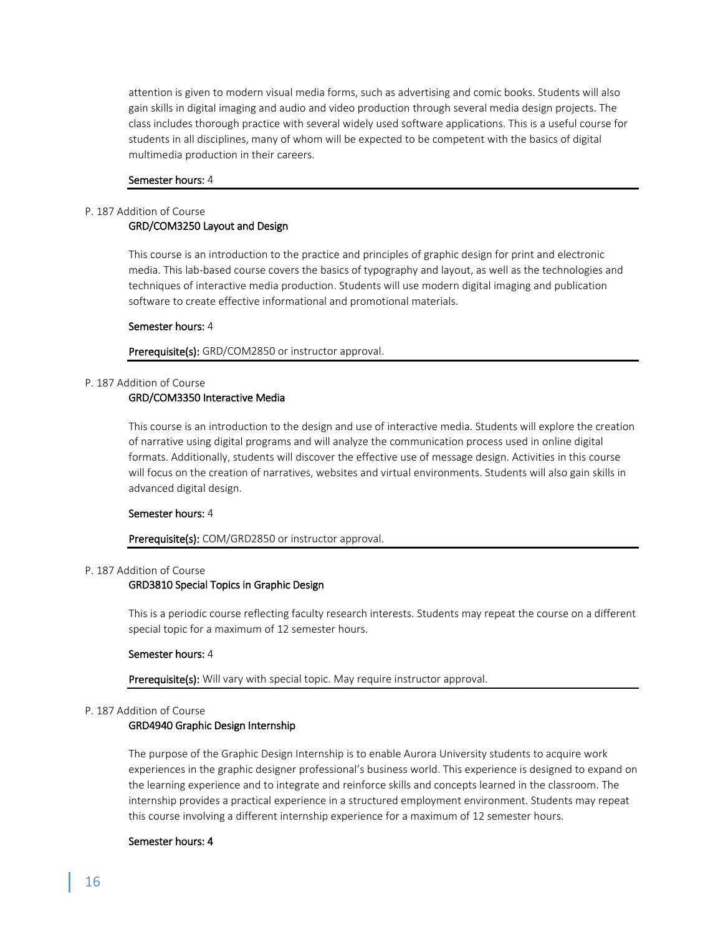attention is given to modern visual media forms, such as advertising and comic books. Students will also gain skills in digital imaging and audio and video production through several media design projects. The class includes thorough practice with several widely used software applications. This is a useful course for students in all disciplines, many of whom will be expected to be competent with the basics of digital multimedia production in their careers.

#### Semester hours: 4

# P. 187 Addition of Course

# GRD/COM3250 Layout and Design

This course is an introduction to the practice and principles of graphic design for print and electronic media. This lab-based course covers the basics of typography and layout, as well as the technologies and techniques of interactive media production. Students will use modern digital imaging and publication software to create effective informational and promotional materials.

#### Semester hours: 4

Prerequisite(s): GRD/COM2850 or instructor approval.

### P. 187 Addition of Course

# GRD/COM3350 Interactive Media

This course is an introduction to the design and use of interactive media. Students will explore the creation of narrative using digital programs and will analyze the communication process used in online digital formats. Additionally, students will discover the effective use of message design. Activities in this course will focus on the creation of narratives, websites and virtual environments. Students will also gain skills in advanced digital design.

#### Semester hours: 4

#### Prerequisite(s): COM/GRD2850 or instructor approval.

#### P. 187 Addition of Course

#### GRD3810 Special Topics in Graphic Design

This is a periodic course reflecting faculty research interests. Students may repeat the course on a different special topic for a maximum of 12 semester hours.

#### Semester hours: 4

Prerequisite(s): Will vary with special topic. May require instructor approval.

#### P. 187 Addition of Course

#### GRD4940 Graphic Design Internship

The purpose of the Graphic Design Internship is to enable Aurora University students to acquire work experiences in the graphic designer professional's business world. This experience is designed to expand on the learning experience and to integrate and reinforce skills and concepts learned in the classroom. The internship provides a practical experience in a structured employment environment. Students may repeat this course involving a different internship experience for a maximum of 12 semester hours.

#### Semester hours: 4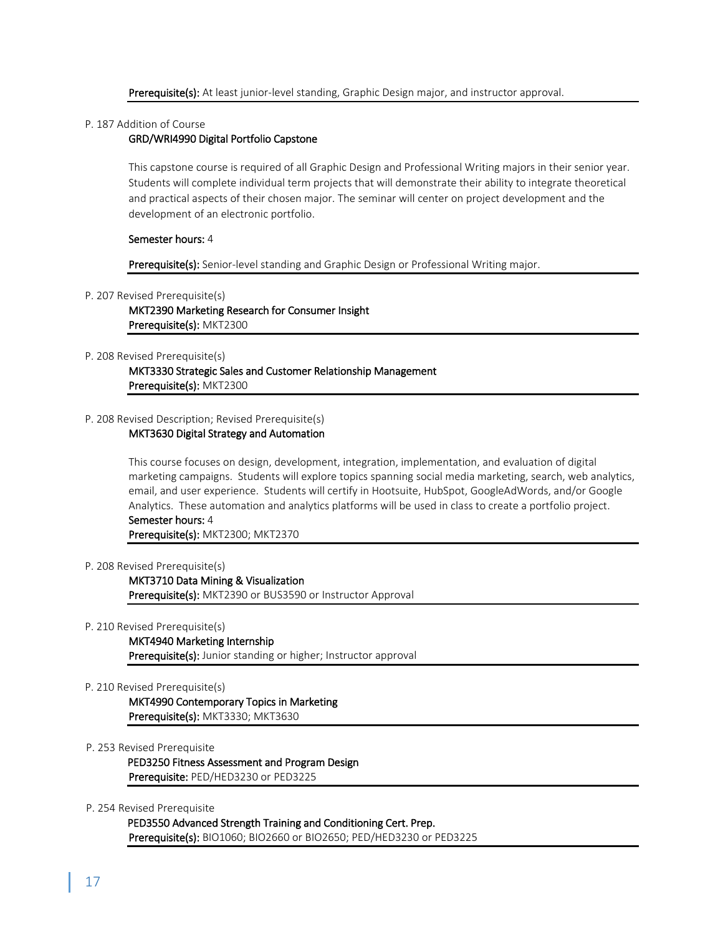#### Prerequisite(s): At least junior-level standing, Graphic Design major, and instructor approval.

#### P. 187 Addition of Course

### GRD/WRI4990 Digital Portfolio Capstone

This capstone course is required of all Graphic Design and Professional Writing majors in their senior year. Students will complete individual term projects that will demonstrate their ability to integrate theoretical and practical aspects of their chosen major. The seminar will center on project development and the development of an electronic portfolio.

#### Semester hours: 4

#### Prerequisite(s): Senior-level standing and Graphic Design or Professional Writing major.

#### P. 207 Revised Prerequisite(s)

MKT2390 Marketing Research for Consumer Insight Prerequisite(s): MKT2300

#### P. 208 Revised Prerequisite(s)

MKT3330 Strategic Sales and Customer Relationship Management Prerequisite(s): MKT2300

### P. 208 Revised Description; Revised Prerequisite(s)

#### MKT3630 Digital Strategy and Automation

This course focuses on design, development, integration, implementation, and evaluation of digital marketing campaigns. Students will explore topics spanning social media marketing, search, web analytics, email, and user experience. Students will certify in Hootsuite, HubSpot, GoogleAdWords, and/or Google Analytics. These automation and analytics platforms will be used in class to create a portfolio project. Semester hours: 4

# Prerequisite(s): MKT2300; MKT2370

#### P. 208 Revised Prerequisite(s)

MKT3710 Data Mining & Visualization Prerequisite(s): MKT2390 or BUS3590 or Instructor Approval

#### P. 210 Revised Prerequisite(s)

# MKT4940 Marketing Internship

Prerequisite(s): Junior standing or higher; Instructor approval

#### P. 210 Revised Prerequisite(s)

MKT4990 Contemporary Topics in Marketing Prerequisite(s): MKT3330; MKT3630

#### P. 253 Revised Prerequisite

PED3250 Fitness Assessment and Program Design Prerequisite: PED/HED3230 or PED3225

#### P. 254 Revised Prerequisite

PED3550 Advanced Strength Training and Conditioning Cert. Prep. Prerequisite(s): BIO1060; BIO2660 or BIO2650; PED/HED3230 or PED3225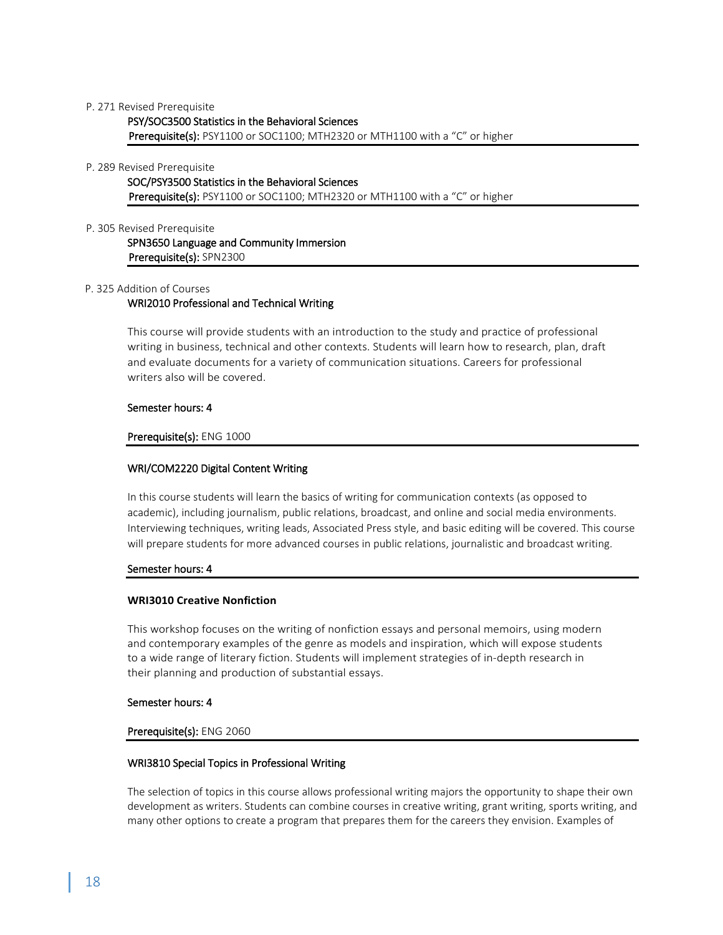#### P. 271 Revised Prerequisite

PSY/SOC3500 Statistics in the Behavioral Sciences Prerequisite(s): PSY1100 or SOC1100; MTH2320 or MTH1100 with a "C" or higher

#### P. 289 Revised Prerequisite

SOC/PSY3500 Statistics in the Behavioral Sciences Prerequisite(s): PSY1100 or SOC1100; MTH2320 or MTH1100 with a "C" or higher

#### P. 305 Revised Prerequisite

SPN3650 Language and Community Immersion Prerequisite(s): SPN2300

#### P. 325 Addition of Courses

#### WRI2010 Professional and Technical Writing

This course will provide students with an introduction to the study and practice of professional writing in business, technical and other contexts. Students will learn how to research, plan, draft and evaluate documents for a variety of communication situations. Careers for professional writers also will be covered.

#### Semester hours: 4

#### Prerequisite(s): ENG 1000

#### WRI/COM2220 Digital Content Writing

In this course students will learn the basics of writing for communication contexts (as opposed to academic), including journalism, public relations, broadcast, and online and social media environments. Interviewing techniques, writing leads, Associated Press style, and basic editing will be covered. This course will prepare students for more advanced courses in public relations, journalistic and broadcast writing.

#### Semester hours: 4

#### **WRI3010 Creative Nonfiction**

This workshop focuses on the writing of nonfiction essays and personal memoirs, using modern and contemporary examples of the genre as models and inspiration, which will expose students to a wide range of literary fiction. Students will implement strategies of in-depth research in their planning and production of substantial essays.

#### Semester hours: 4

#### Prerequisite(s): ENG 2060

#### WRI3810 Special Topics in Professional Writing

The selection of topics in this course allows professional writing majors the opportunity to shape their own development as writers. Students can combine courses in creative writing, grant writing, sports writing, and many other options to create a program that prepares them for the careers they envision. Examples of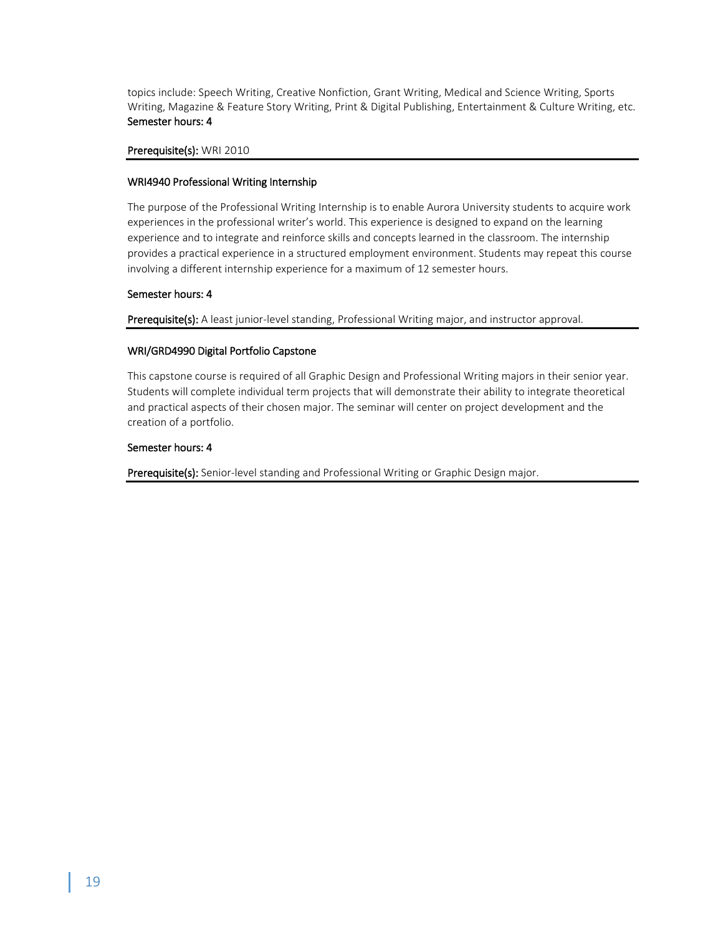topics include: Speech Writing, Creative Nonfiction, Grant Writing, Medical and Science Writing, Sports Writing, Magazine & Feature Story Writing, Print & Digital Publishing, Entertainment & Culture Writing, etc. Semester hours: 4

# Prerequisite(s): WRI 2010

# WRI4940 Professional Writing Internship

The purpose of the Professional Writing Internship is to enable Aurora University students to acquire work experiences in the professional writer's world. This experience is designed to expand on the learning experience and to integrate and reinforce skills and concepts learned in the classroom. The internship provides a practical experience in a structured employment environment. Students may repeat this course involving a different internship experience for a maximum of 12 semester hours.

# Semester hours: 4

Prerequisite(s): A least junior-level standing, Professional Writing major, and instructor approval.

# WRI/GRD4990 Digital Portfolio Capstone

This capstone course is required of all Graphic Design and Professional Writing majors in their senior year. Students will complete individual term projects that will demonstrate their ability to integrate theoretical and practical aspects of their chosen major. The seminar will center on project development and the creation of a portfolio.

# Semester hours: 4

Prerequisite(s): Senior-level standing and Professional Writing or Graphic Design major.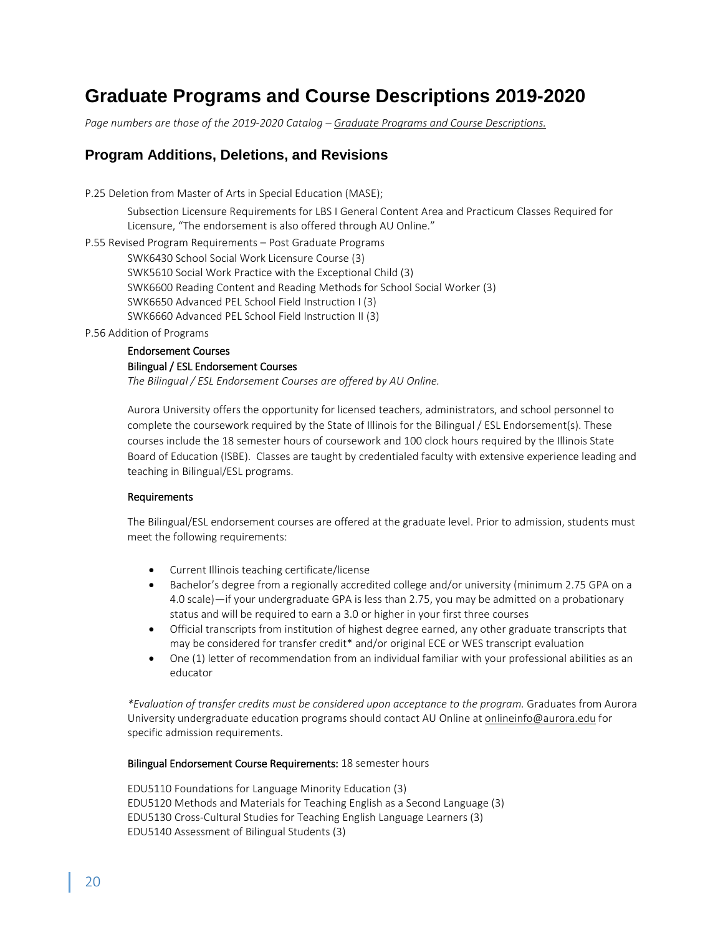# **Graduate Programs and Course Descriptions 2019-2020**

*Page numbers are those of the 2019-2020 Catalog – Graduate Programs and Course Descriptions.*

# **Program Additions, Deletions, and Revisions**

P.25 Deletion from Master of Arts in Special Education (MASE);

Subsection Licensure Requirements for LBS I General Content Area and Practicum Classes Required for Licensure, "The endorsement is also offered through AU Online."

P.55 Revised Program Requirements – Post Graduate Programs SWK6430 School Social Work Licensure Course (3) SWK5610 Social Work Practice with the Exceptional Child (3) SWK6600 Reading Content and Reading Methods for School Social Worker (3) SWK6650 Advanced PEL School Field Instruction I (3) SWK6660 Advanced PEL School Field Instruction II (3)

P.56 Addition of Programs

# Endorsement Courses Bilingual / ESL Endorsement Courses *The Bilingual / ESL Endorsement Courses are offered by AU Online.*

Aurora University offers the opportunity for licensed teachers, administrators, and school personnel to complete the coursework required by the State of Illinois for the Bilingual / ESL Endorsement(s). These courses include the 18 semester hours of coursework and 100 clock hours required by the Illinois State Board of Education (ISBE). Classes are taught by credentialed faculty with extensive experience leading and teaching in Bilingual/ESL programs.

# Requirements

The Bilingual/ESL endorsement courses are offered at the graduate level. Prior to admission, students must meet the following requirements:

- Current Illinois teaching certificate/license
- Bachelor's degree from a regionally accredited college and/or university (minimum 2.75 GPA on a 4.0 scale)—if your undergraduate GPA is less than 2.75, you may be admitted on a probationary status and will be required to earn a 3.0 or higher in your first three courses
- Official transcripts from institution of highest degree earned, any other graduate transcripts that may be considered for transfer credit\* and/or original ECE or WES transcript evaluation
- One (1) letter of recommendation from an individual familiar with your professional abilities as an educator

*\*Evaluation of transfer credits must be considered upon acceptance to the program.* Graduates from Aurora University undergraduate education programs should contact AU Online at [onlineinfo@aurora.edu](mailto:onlineinfo@aurora.edu) for specific admission requirements.

# Bilingual Endorsement Course Requirements: 18 semester hours

EDU5110 Foundations for Language Minority Education (3) EDU5120 Methods and Materials for Teaching English as a Second Language (3) EDU5130 Cross-Cultural Studies for Teaching English Language Learners (3) EDU5140 Assessment of Bilingual Students (3)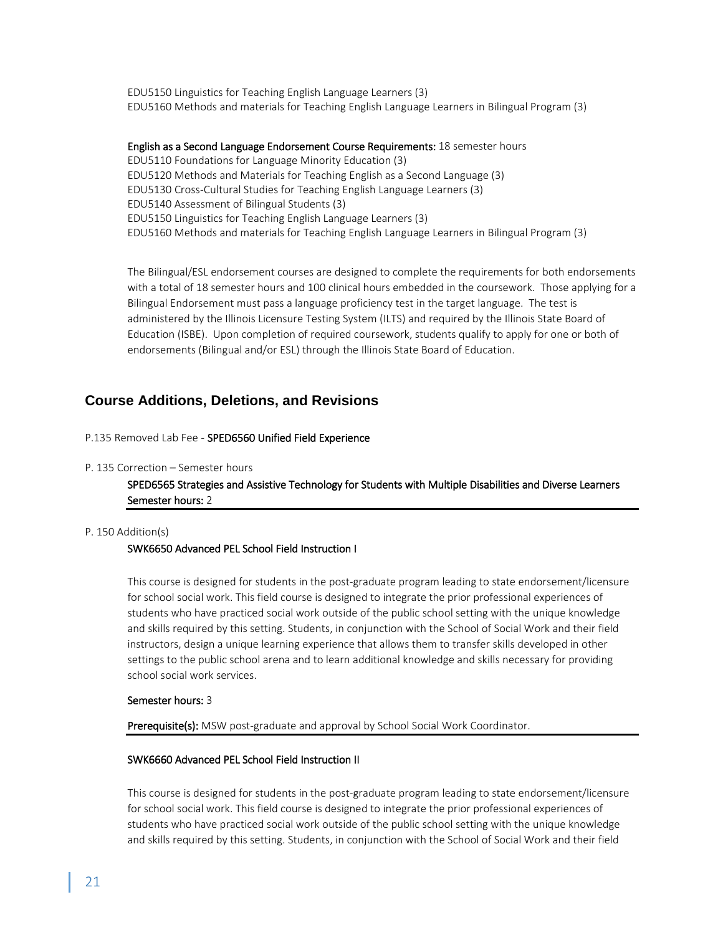EDU5150 Linguistics for Teaching English Language Learners (3) EDU5160 Methods and materials for Teaching English Language Learners in Bilingual Program (3)

English as a Second Language Endorsement Course Requirements: 18 semester hours EDU5110 Foundations for Language Minority Education (3) EDU5120 Methods and Materials for Teaching English as a Second Language (3) EDU5130 Cross-Cultural Studies for Teaching English Language Learners (3) EDU5140 Assessment of Bilingual Students (3) EDU5150 Linguistics for Teaching English Language Learners (3) EDU5160 Methods and materials for Teaching English Language Learners in Bilingual Program (3)

The Bilingual/ESL endorsement courses are designed to complete the requirements for both endorsements with a total of 18 semester hours and 100 clinical hours embedded in the coursework. Those applying for a Bilingual Endorsement must pass a language proficiency test in the target language. The test is administered by the Illinois Licensure Testing System (ILTS) and required by the Illinois State Board of Education (ISBE). Upon completion of required coursework, students qualify to apply for one or both of endorsements (Bilingual and/or ESL) through the Illinois State Board of Education.

# **Course Additions, Deletions, and Revisions**

P.135 Removed Lab Fee *-* SPED6560 Unified Field Experience

#### P. 135 Correction – Semester hours

SPED6565 Strategies and Assistive Technology for Students with Multiple Disabilities and Diverse Learners Semester hours: 2

#### P. 150 Addition(s)

#### SWK6650 Advanced PEL School Field Instruction I

This course is designed for students in the post-graduate program leading to state endorsement/licensure for school social work. This field course is designed to integrate the prior professional experiences of students who have practiced social work outside of the public school setting with the unique knowledge and skills required by this setting. Students, in conjunction with the School of Social Work and their field instructors, design a unique learning experience that allows them to transfer skills developed in other settings to the public school arena and to learn additional knowledge and skills necessary for providing school social work services.

#### Semester hours: 3

Prerequisite(s): MSW post-graduate and approval by School Social Work Coordinator.

#### SWK6660 Advanced PEL School Field Instruction II

This course is designed for students in the post-graduate program leading to state endorsement/licensure for school social work. This field course is designed to integrate the prior professional experiences of students who have practiced social work outside of the public school setting with the unique knowledge and skills required by this setting. Students, in conjunction with the School of Social Work and their field